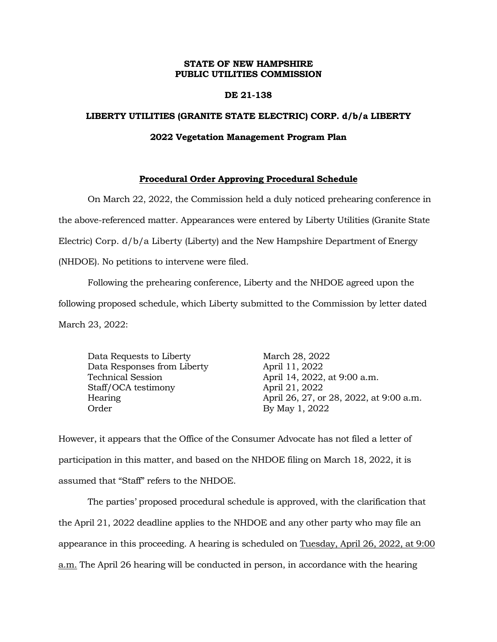## **STATE OF NEW HAMPSHIRE PUBLIC UTILITIES COMMISSION**

### **DE 21-138**

#### **LIBERTY UTILITIES (GRANITE STATE ELECTRIC) CORP. d/b/a LIBERTY**

#### **2022 Vegetation Management Program Plan**

## **Procedural Order Approving Procedural Schedule**

On March 22, 2022, the Commission held a duly noticed prehearing conference in the above-referenced matter. Appearances were entered by Liberty Utilities (Granite State Electric) Corp. d/b/a Liberty (Liberty) and the New Hampshire Department of Energy (NHDOE). No petitions to intervene were filed.

Following the prehearing conference, Liberty and the NHDOE agreed upon the following proposed schedule, which Liberty submitted to the Commission by letter dated March 23, 2022:

Data Requests to Liberty March 28, 2022 Data Responses from Liberty **April 11, 2022** Technical Session April 14, 2022, at 9:00 a.m. Staff/OCA testimony April 21, 2022 Order By May 1, 2022

Hearing April 26, 27, or 28, 2022, at 9:00 a.m.

However, it appears that the Office of the Consumer Advocate has not filed a letter of participation in this matter, and based on the NHDOE filing on March 18, 2022, it is assumed that "Staff" refers to the NHDOE.

The parties' proposed procedural schedule is approved, with the clarification that the April 21, 2022 deadline applies to the NHDOE and any other party who may file an appearance in this proceeding. A hearing is scheduled on Tuesday, April 26, 2022, at 9:00 a.m. The April 26 hearing will be conducted in person, in accordance with the hearing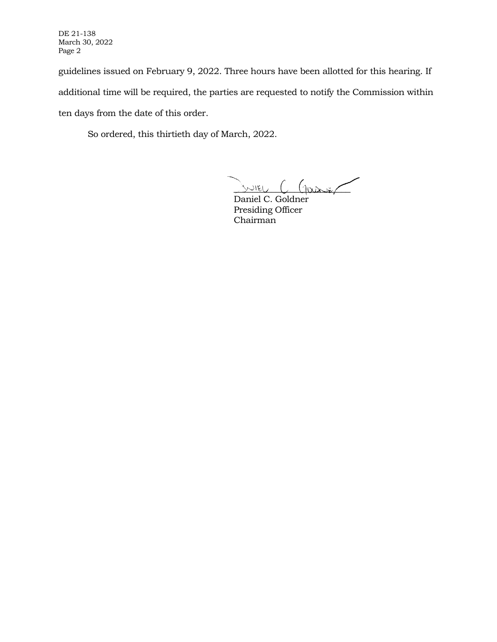DE 21-138 March 30, 2022 Page 2

guidelines issued on February 9, 2022. Three hours have been allotted for this hearing. If additional time will be required, the parties are requested to notify the Commission within ten days from the date of this order.

So ordered, this thirtieth day of March, 2022.

 $S$ NIEL  $C$  Garier

Daniel C. Goldner Presiding Officer Chairman